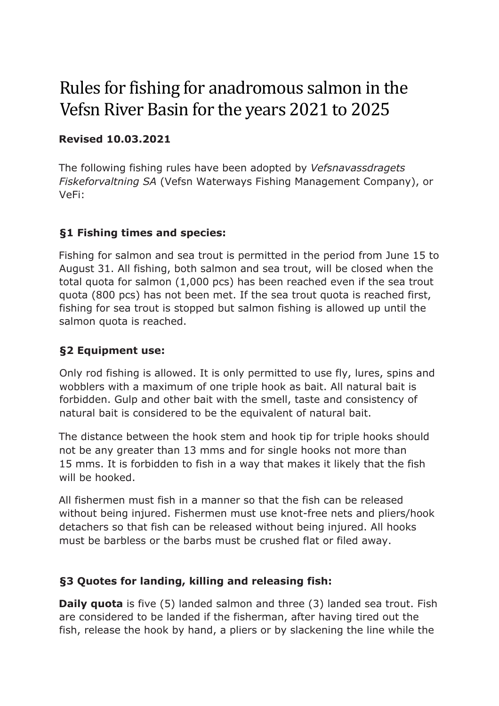# Rules for fishing for anadromous salmon in the Vefsn River Basin for the years 2021 to 2025

#### **Revised 10.03.2021**

The following fishing rules have been adopted by *Vefsnavassdragets Fiskeforvaltning SA* (Vefsn Waterways Fishing Management Company), or VeFi:

#### **§1 Fishing times and species:**

Fishing for salmon and sea trout is permitted in the period from June 15 to August 31. All fishing, both salmon and sea trout, will be closed when the total quota for salmon (1,000 pcs) has been reached even if the sea trout quota (800 pcs) has not been met. If the sea trout quota is reached first, fishing for sea trout is stopped but salmon fishing is allowed up until the salmon quota is reached.

## **§2 Equipment use:**

Only rod fishing is allowed. It is only permitted to use fly, lures, spins and wobblers with a maximum of one triple hook as bait. All natural bait is forbidden. Gulp and other bait with the smell, taste and consistency of natural bait is considered to be the equivalent of natural bait.

The distance between the hook stem and hook tip for triple hooks should not be any greater than 13 mms and for single hooks not more than 15 mms. It is forbidden to fish in a way that makes it likely that the fish will be hooked.

All fishermen must fish in a manner so that the fish can be released without being injured. Fishermen must use knot-free nets and pliers/hook detachers so that fish can be released without being injured. All hooks must be barbless or the barbs must be crushed flat or filed away.

#### **§3 Quotes for landing, killing and releasing fish:**

**Daily quota** is five (5) landed salmon and three (3) landed sea trout. Fish are considered to be landed if the fisherman, after having tired out the fish, release the hook by hand, a pliers or by slackening the line while the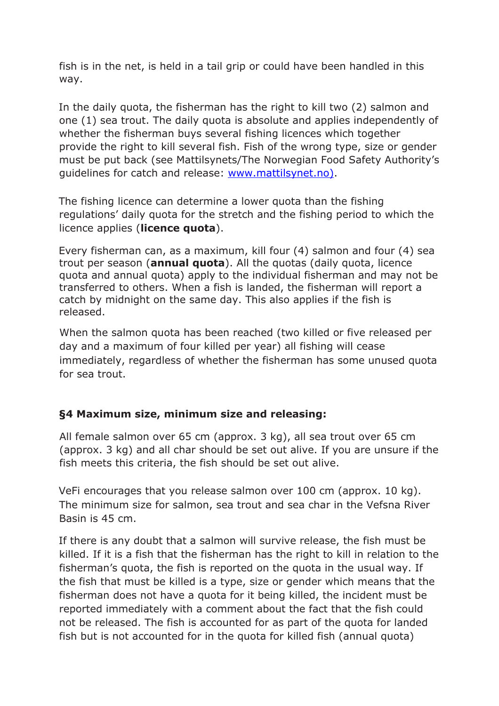fish is in the net, is held in a tail grip or could have been handled in this way.

In the daily quota, the fisherman has the right to kill two (2) salmon and one (1) sea trout. The daily quota is absolute and applies independently of whether the fisherman buys several fishing licences which together provide the right to kill several fish. Fish of the wrong type, size or gender must be put back (see Mattilsynets/The Norwegian Food Safety Authority's guidelines for catch and release: www.mattilsynet.no).

The fishing licence can determine a lower quota than the fishing regulations' daily quota for the stretch and the fishing period to which the licence applies (**licence quota**).

Every fisherman can, as a maximum, kill four (4) salmon and four (4) sea trout per season (**annual quota**). All the quotas (daily quota, licence quota and annual quota) apply to the individual fisherman and may not be transferred to others. When a fish is landed, the fisherman will report a catch by midnight on the same day. This also applies if the fish is released.

When the salmon quota has been reached (two killed or five released per day and a maximum of four killed per year) all fishing will cease immediately, regardless of whether the fisherman has some unused quota for sea trout.

#### **§4 Maximum size, minimum size and releasing:**

All female salmon over 65 cm (approx. 3 kg), all sea trout over 65 cm (approx. 3 kg) and all char should be set out alive. If you are unsure if the fish meets this criteria, the fish should be set out alive.

VeFi encourages that you release salmon over 100 cm (approx. 10 kg). The minimum size for salmon, sea trout and sea char in the Vefsna River Basin is 45 cm.

If there is any doubt that a salmon will survive release, the fish must be killed. If it is a fish that the fisherman has the right to kill in relation to the fisherman's quota, the fish is reported on the quota in the usual way. If the fish that must be killed is a type, size or gender which means that the fisherman does not have a quota for it being killed, the incident must be reported immediately with a comment about the fact that the fish could not be released. The fish is accounted for as part of the quota for landed fish but is not accounted for in the quota for killed fish (annual quota)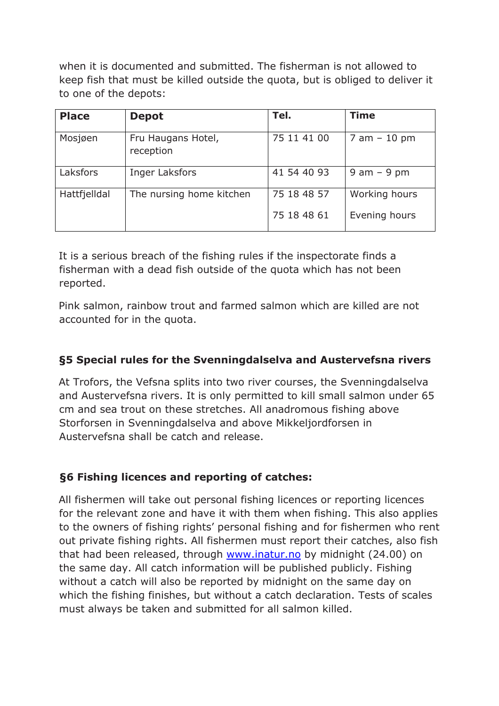when it is documented and submitted. The fisherman is not allowed to keep fish that must be killed outside the quota, but is obliged to deliver it to one of the depots:

| <b>Place</b> | <b>Depot</b>                    | Tel.        | <b>Time</b>     |
|--------------|---------------------------------|-------------|-----------------|
| Mosjøen      | Fru Haugans Hotel,<br>reception | 75 11 41 00 | $7$ am $-10$ pm |
| Laksfors     | Inger Laksfors                  | 41 54 40 93 | $9$ am $-9$ pm  |
| Hattfjelldal | The nursing home kitchen        | 75 18 48 57 | Working hours   |
|              |                                 | 75 18 48 61 | Evening hours   |

It is a serious breach of the fishing rules if the inspectorate finds a fisherman with a dead fish outside of the quota which has not been reported.

Pink salmon, rainbow trout and farmed salmon which are killed are not accounted for in the quota.

#### **§5 Special rules for the Svenningdalselva and Austervefsna rivers**

At Trofors, the Vefsna splits into two river courses, the Svenningdalselva and Austervefsna rivers. It is only permitted to kill small salmon under 65 cm and sea trout on these stretches. All anadromous fishing above Storforsen in Svenningdalselva and above Mikkeljordforsen in Austervefsna shall be catch and release.

#### **§6 Fishing licences and reporting of catches:**

All fishermen will take out personal fishing licences or reporting licences for the relevant zone and have it with them when fishing. This also applies to the owners of fishing rights' personal fishing and for fishermen who rent out private fishing rights. All fishermen must report their catches, also fish that had been released, through www.inatur.no by midnight (24.00) on the same day. All catch information will be published publicly. Fishing without a catch will also be reported by midnight on the same day on which the fishing finishes, but without a catch declaration. Tests of scales must always be taken and submitted for all salmon killed.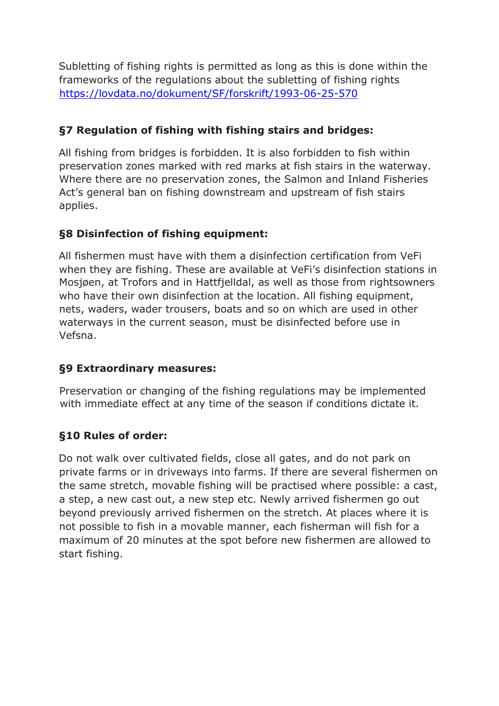Subletting of fishing rights is permitted as long as this is done within the frameworks of the regulations about the subletting of fishing rights https://lovdata.no/dokument/SF/forskrift/1993-06-25-570

## **§7 Regulation of fishing with fishing stairs and bridges:**

All fishing from bridges is forbidden. It is also forbidden to fish within preservation zones marked with red marks at fish stairs in the waterway. Where there are no preservation zones, the Salmon and Inland Fisheries Act's general ban on fishing downstream and upstream of fish stairs applies.

## **§8 Disinfection of fishing equipment:**

All fishermen must have with them a disinfection certification from VeFi when they are fishing. These are available at VeFi's disinfection stations in Mosjøen, at Trofors and in Hattfjelldal, as well as those from rightsowners who have their own disinfection at the location. All fishing equipment, nets, waders, wader trousers, boats and so on which are used in other waterways in the current season, must be disinfected before use in Vefsna.

#### **§9 Extraordinary measures:**

Preservation or changing of the fishing regulations may be implemented with immediate effect at any time of the season if conditions dictate it.

# **§10 Rules of order:**

Do not walk over cultivated fields, close all gates, and do not park on private farms or in driveways into farms. If there are several fishermen on the same stretch, movable fishing will be practised where possible: a cast, a step, a new cast out, a new step etc. Newly arrived fishermen go out beyond previously arrived fishermen on the stretch. At places where it is not possible to fish in a movable manner, each fisherman will fish for a maximum of 20 minutes at the spot before new fishermen are allowed to start fishing.